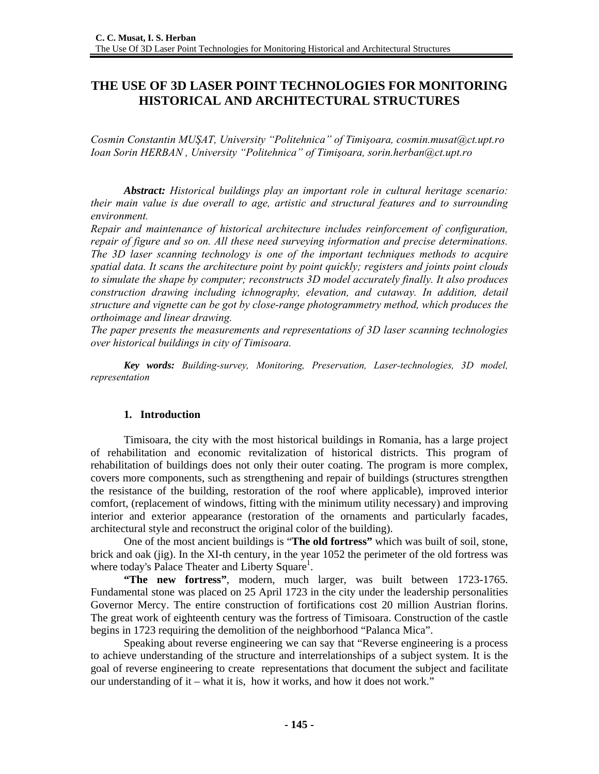# **THE USE OF 3D LASER POINT TECHNOLOGIES FOR MONITORING HISTORICAL AND ARCHITECTURAL STRUCTURES**

*Cosmin Constantin MUŞAT, University "Politehnica" of Timişoara, cosmin.musat@ct.upt.ro Ioan Sorin HERBAN , University "Politehnica" of Timişoara, sorin.herban@ct.upt.ro* 

*Abstract: Historical buildings play an important role in cultural heritage scenario: their main value is due overall to age, artistic and structural features and to surrounding environment.* 

*Repair and maintenance of historical architecture includes reinforcement of configuration, repair of figure and so on. All these need surveying information and precise determinations. The 3D laser scanning technology is one of the important techniques methods to acquire spatial data. It scans the architecture point by point quickly; registers and joints point clouds to simulate the shape by computer; reconstructs 3D model accurately finally. It also produces construction drawing including ichnography, elevation, and cutaway. In addition, detail structure and vignette can be got by close-range photogrammetry method, which produces the orthoimage and linear drawing.* 

*The paper presents the measurements and representations of 3D laser scanning technologies over historical buildings in city of Timisoara.* 

*Key words: Building-survey, Monitoring, Preservation, Laser-technologies, 3D model, representation* 

#### **1. Introduction**

Timisoara, the city with the most historical buildings in Romania, has a large project of rehabilitation and economic revitalization of historical districts. This program of rehabilitation of buildings does not only their outer coating. The program is more complex, covers more components, such as strengthening and repair of buildings (structures strengthen the resistance of the building, restoration of the roof where applicable), improved interior comfort, (replacement of windows, fitting with the minimum utility necessary) and improving interior and exterior appearance (restoration of the ornaments and particularly facades, architectural style and reconstruct the original color of the building).

One of the most ancient buildings is "**The old fortress"** which was built of soil, stone, brick and oak (jig). In the XI-th century, in the year 1052 the perimeter of the old fortress was where today's Palace Theater and Liberty Square<sup>1</sup>.

**"The new fortress"**, modern, much larger, was built between 1723-1765. Fundamental stone was placed on 25 April 1723 in the city under the leadership personalities Governor Mercy. The entire construction of fortifications cost 20 million Austrian florins. The great work of eighteenth century was the fortress of Timisoara. Construction of the castle begins in 1723 requiring the demolition of the neighborhood "Palanca Mica".

Speaking about reverse engineering we can say that "Reverse engineering is a process to achieve understanding of the structure and interrelationships of a subject system. It is the goal of reverse engineering to create representations that document the subject and facilitate our understanding of it – what it is, how it works, and how it does not work."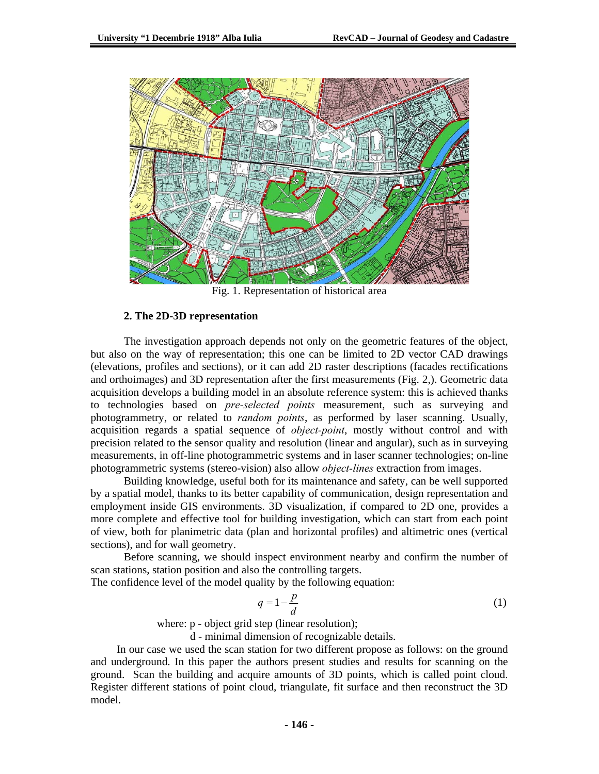

Fig. 1. Representation of historical area

#### **2. The 2D-3D representation**

The investigation approach depends not only on the geometric features of the object, but also on the way of representation; this one can be limited to 2D vector CAD drawings (elevations, profiles and sections), or it can add 2D raster descriptions (facades rectifications and orthoimages) and 3D representation after the first measurements (Fig. 2,). Geometric data acquisition develops a building model in an absolute reference system: this is achieved thanks to technologies based on *pre-selected points* measurement, such as surveying and photogrammetry, or related to *random points*, as performed by laser scanning. Usually, acquisition regards a spatial sequence of *object-point*, mostly without control and with precision related to the sensor quality and resolution (linear and angular), such as in surveying measurements, in off-line photogrammetric systems and in laser scanner technologies; on-line photogrammetric systems (stereo-vision) also allow *object-lines* extraction from images.

Building knowledge, useful both for its maintenance and safety, can be well supported by a spatial model, thanks to its better capability of communication, design representation and employment inside GIS environments. 3D visualization, if compared to 2D one, provides a more complete and effective tool for building investigation, which can start from each point of view, both for planimetric data (plan and horizontal profiles) and altimetric ones (vertical sections), and for wall geometry.

Before scanning, we should inspect environment nearby and confirm the number of scan stations, station position and also the controlling targets.

The confidence level of the model quality by the following equation:

$$
q = 1 - \frac{p}{d} \tag{1}
$$

where:  $p$  - object grid step (linear resolution);

d - minimal dimension of recognizable details.

 In our case we used the scan station for two different propose as follows: on the ground and underground. In this paper the authors present studies and results for scanning on the ground. Scan the building and acquire amounts of 3D points, which is called point cloud. Register different stations of point cloud, triangulate, fit surface and then reconstruct the 3D model.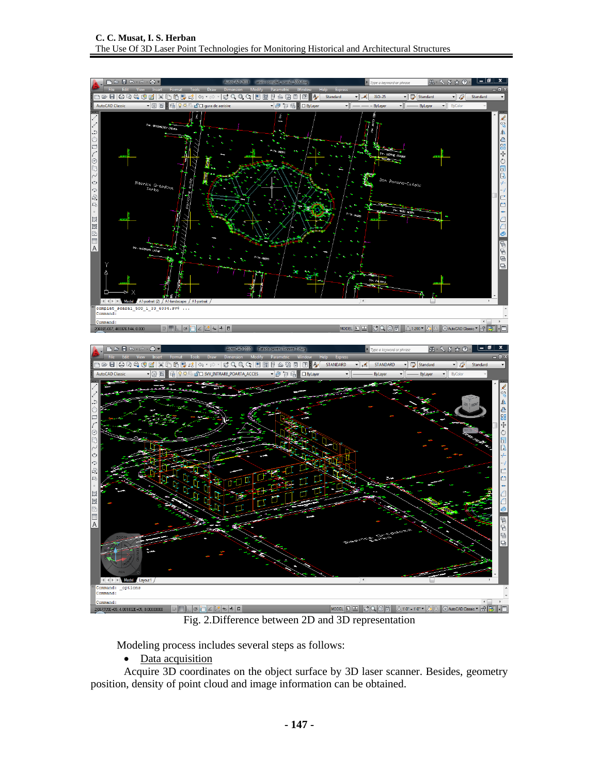

Fig. 2.Difference between 2D and 3D representation

Modeling process includes several steps as follows:

• Data acquisition

Acquire 3D coordinates on the object surface by 3D laser scanner. Besides, geometry position, density of point cloud and image information can be obtained.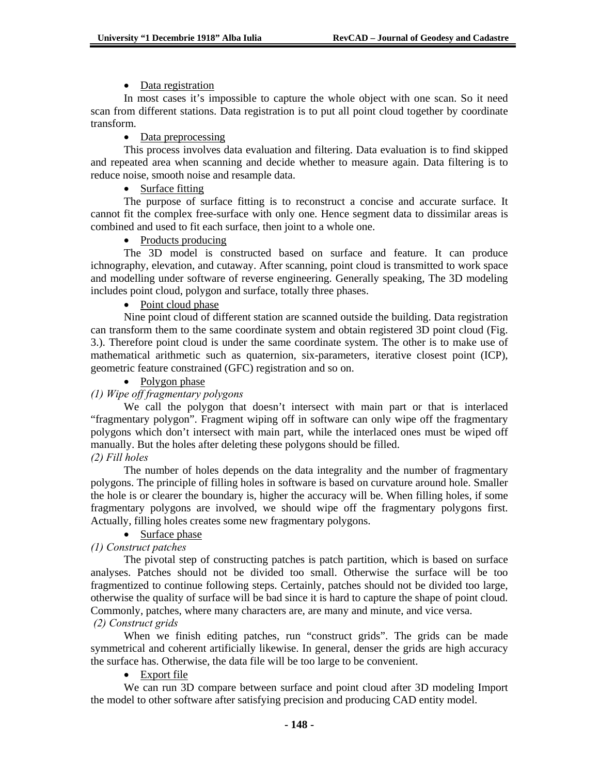### • Data registration

In most cases it's impossible to capture the whole object with one scan. So it need scan from different stations. Data registration is to put all point cloud together by coordinate transform.

### • Data preprocessing

This process involves data evaluation and filtering. Data evaluation is to find skipped and repeated area when scanning and decide whether to measure again. Data filtering is to reduce noise, smooth noise and resample data.

### • Surface fitting

The purpose of surface fitting is to reconstruct a concise and accurate surface. It cannot fit the complex free-surface with only one. Hence segment data to dissimilar areas is combined and used to fit each surface, then joint to a whole one.

#### • Products producing

The 3D model is constructed based on surface and feature. It can produce ichnography, elevation, and cutaway. After scanning, point cloud is transmitted to work space and modelling under software of reverse engineering. Generally speaking, The 3D modeling includes point cloud, polygon and surface, totally three phases.

#### • Point cloud phase

Nine point cloud of different station are scanned outside the building. Data registration can transform them to the same coordinate system and obtain registered 3D point cloud (Fig. 3.). Therefore point cloud is under the same coordinate system. The other is to make use of mathematical arithmetic such as quaternion, six-parameters, iterative closest point (ICP), geometric feature constrained (GFC) registration and so on.

### • Polygon phase

### *(1) Wipe off fragmentary polygons*

We call the polygon that doesn't intersect with main part or that is interlaced "fragmentary polygon". Fragment wiping off in software can only wipe off the fragmentary polygons which don't intersect with main part, while the interlaced ones must be wiped off manually. But the holes after deleting these polygons should be filled.

### *(2) Fill holes*

The number of holes depends on the data integrality and the number of fragmentary polygons. The principle of filling holes in software is based on curvature around hole. Smaller the hole is or clearer the boundary is, higher the accuracy will be. When filling holes, if some fragmentary polygons are involved, we should wipe off the fragmentary polygons first. Actually, filling holes creates some new fragmentary polygons.

• Surface phase

## *(1) Construct patches*

The pivotal step of constructing patches is patch partition, which is based on surface analyses. Patches should not be divided too small. Otherwise the surface will be too fragmentized to continue following steps. Certainly, patches should not be divided too large, otherwise the quality of surface will be bad since it is hard to capture the shape of point cloud. Commonly, patches, where many characters are, are many and minute, and vice versa.  *(2) Construct grids* 

When we finish editing patches, run "construct grids". The grids can be made symmetrical and coherent artificially likewise. In general, denser the grids are high accuracy the surface has. Otherwise, the data file will be too large to be convenient.

#### • Export file

We can run 3D compare between surface and point cloud after 3D modeling Import the model to other software after satisfying precision and producing CAD entity model.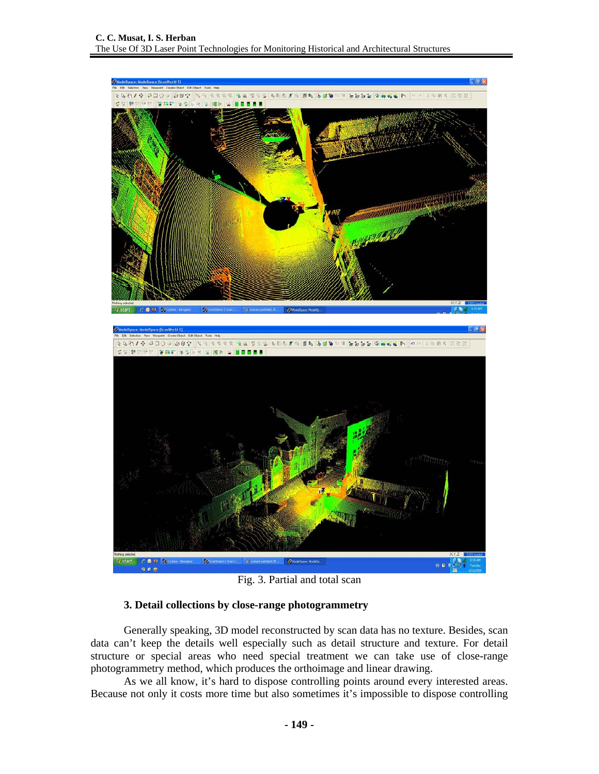

Fig. 3. Partial and total scan

#### **3. Detail collections by close-range photogrammetry**

Generally speaking, 3D model reconstructed by scan data has no texture. Besides, scan data can't keep the details well especially such as detail structure and texture. For detail structure or special areas who need special treatment we can take use of close-range photogrammetry method, which produces the orthoimage and linear drawing.

As we all know, it's hard to dispose controlling points around every interested areas. Because not only it costs more time but also sometimes it's impossible to dispose controlling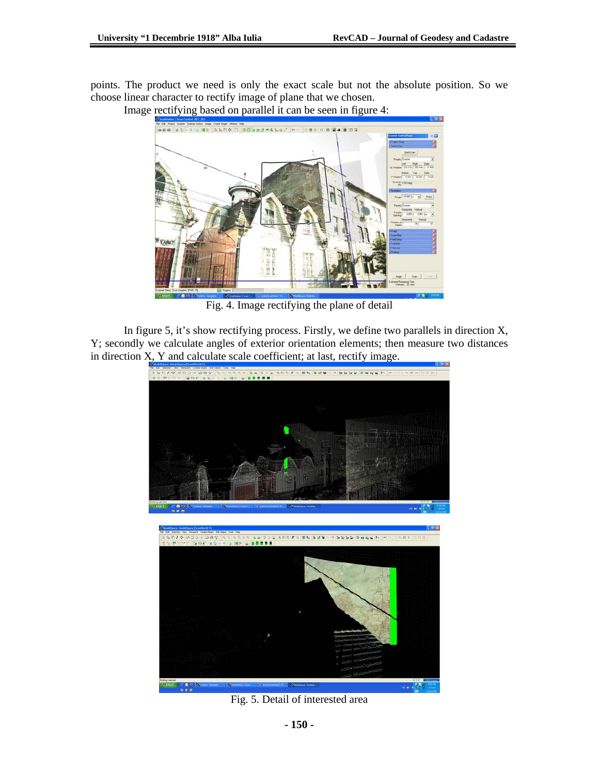points. The product we need is only the exact scale but not the absolute position. So we choose linear character to rectify image of plane that we chosen.



Image rectifying based on parallel it can be seen in figure 4:

Fig. 4. Image rectifying the plane of detail

In figure 5, it's show rectifying process. Firstly, we define two parallels in direction X, Y; secondly we calculate angles of exterior orientation elements; then measure two distances in direction X, Y and calculate scale coefficient; at last, rectify image.



Fig. 5. Detail of interested area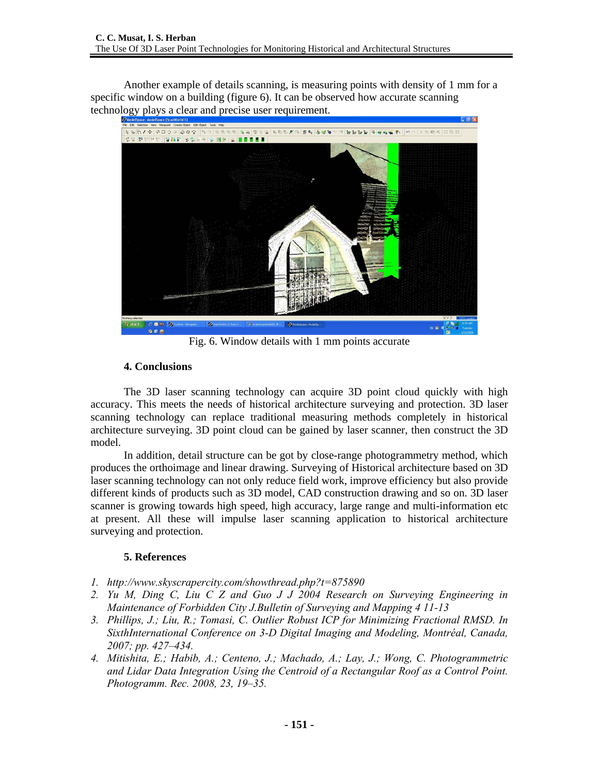Another example of details scanning, is measuring points with density of 1 mm for a specific window on a building (figure 6). It can be observed how accurate scanning technology plays a clear and precise user requirement.



Fig. 6. Window details with 1 mm points accurate

### **4. Conclusions**

The 3D laser scanning technology can acquire 3D point cloud quickly with high accuracy. This meets the needs of historical architecture surveying and protection. 3D laser scanning technology can replace traditional measuring methods completely in historical architecture surveying. 3D point cloud can be gained by laser scanner, then construct the 3D model.

In addition, detail structure can be got by close-range photogrammetry method, which produces the orthoimage and linear drawing. Surveying of Historical architecture based on 3D laser scanning technology can not only reduce field work, improve efficiency but also provide different kinds of products such as 3D model, CAD construction drawing and so on. 3D laser scanner is growing towards high speed, high accuracy, large range and multi-information etc at present. All these will impulse laser scanning application to historical architecture surveying and protection.

## **5. References**

- *1. http://www.skyscrapercity.com/showthread.php?t=875890*
- *2. Yu M, Ding C, Liu C Z and Guo J J 2004 Research on Surveying Engineering in Maintenance of Forbidden City J.Bulletin of Surveying and Mapping 4 11-13*
- *3. Phillips, J.; Liu, R.; Tomasi, C. Outlier Robust ICP for Minimizing Fractional RMSD. In SixthInternational Conference on 3-D Digital Imaging and Modeling, Montréal, Canada, 2007; pp. 427–434.*
- *4. Mitishita, E.; Habib, A.; Centeno, J.; Machado, A.; Lay, J.; Wong, C. Photogrammetric and Lidar Data Integration Using the Centroid of a Rectangular Roof as a Control Point. Photogramm. Rec. 2008, 23, 19–35.*